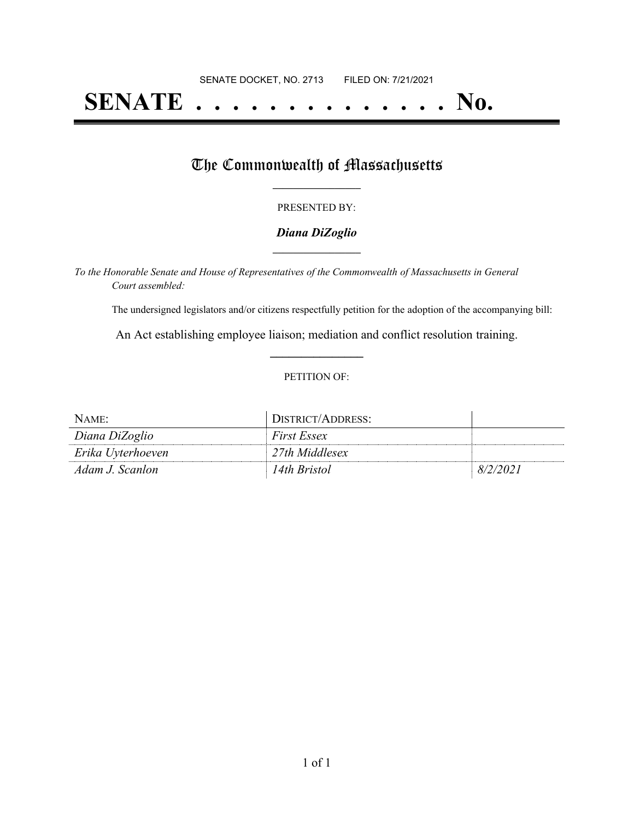# **SENATE . . . . . . . . . . . . . . No.**

## The Commonwealth of Massachusetts

#### PRESENTED BY:

#### *Diana DiZoglio* **\_\_\_\_\_\_\_\_\_\_\_\_\_\_\_\_\_**

*To the Honorable Senate and House of Representatives of the Commonwealth of Massachusetts in General Court assembled:*

The undersigned legislators and/or citizens respectfully petition for the adoption of the accompanying bill:

An Act establishing employee liaison; mediation and conflict resolution training. **\_\_\_\_\_\_\_\_\_\_\_\_\_\_\_**

#### PETITION OF:

| NAME:             | DISTRICT/ADDRESS:  |          |
|-------------------|--------------------|----------|
| Diana DiZoglio    | <i>First Essex</i> |          |
| Erika Uyterhoeven | 27th Middlesex     |          |
| Adam J. Scanlon   | 14th Bristol       | 8/2/2021 |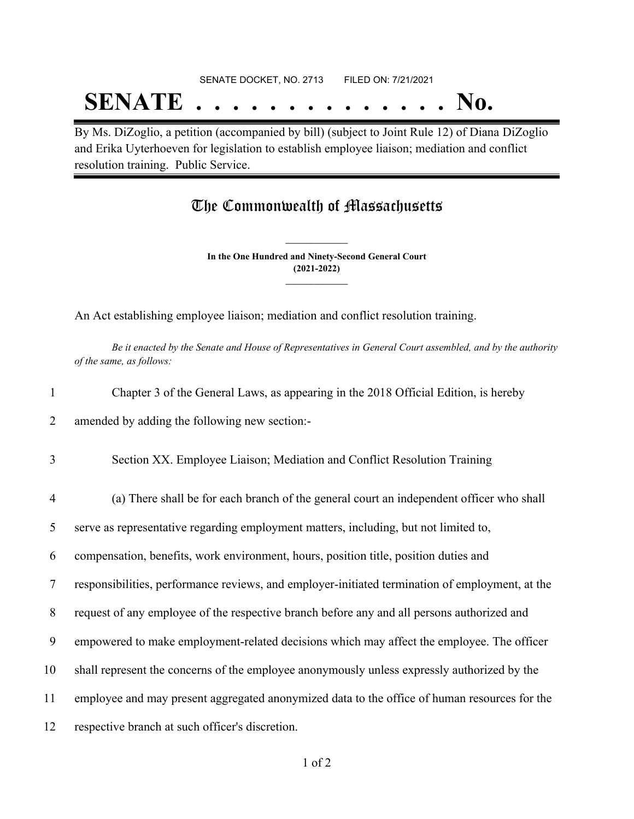## SENATE DOCKET, NO. 2713 FILED ON: 7/21/2021 **SENATE . . . . . . . . . . . . . . No.**

By Ms. DiZoglio, a petition (accompanied by bill) (subject to Joint Rule 12) of Diana DiZoglio and Erika Uyterhoeven for legislation to establish employee liaison; mediation and conflict resolution training. Public Service.

### The Commonwealth of Massachusetts

**In the One Hundred and Ninety-Second General Court (2021-2022) \_\_\_\_\_\_\_\_\_\_\_\_\_\_\_**

**\_\_\_\_\_\_\_\_\_\_\_\_\_\_\_**

An Act establishing employee liaison; mediation and conflict resolution training.

Be it enacted by the Senate and House of Representatives in General Court assembled, and by the authority *of the same, as follows:*

| Chapter 3 of the General Laws, as appearing in the 2018 Official Edition, is hereby<br>1<br>amended by adding the following new section:-<br>2<br>3<br>Section XX. Employee Liaison; Mediation and Conflict Resolution Training<br>$\overline{4}$<br>(a) There shall be for each branch of the general court an independent officer who shall<br>serve as representative regarding employment matters, including, but not limited to,<br>5<br>compensation, benefits, work environment, hours, position title, position duties and<br>6<br>7<br>8<br>request of any employee of the respective branch before any and all persons authorized and<br>9<br>shall represent the concerns of the employee anonymously unless expressly authorized by the<br>10<br>11 |                                                                                                 |
|-----------------------------------------------------------------------------------------------------------------------------------------------------------------------------------------------------------------------------------------------------------------------------------------------------------------------------------------------------------------------------------------------------------------------------------------------------------------------------------------------------------------------------------------------------------------------------------------------------------------------------------------------------------------------------------------------------------------------------------------------------------------|-------------------------------------------------------------------------------------------------|
|                                                                                                                                                                                                                                                                                                                                                                                                                                                                                                                                                                                                                                                                                                                                                                 |                                                                                                 |
|                                                                                                                                                                                                                                                                                                                                                                                                                                                                                                                                                                                                                                                                                                                                                                 |                                                                                                 |
|                                                                                                                                                                                                                                                                                                                                                                                                                                                                                                                                                                                                                                                                                                                                                                 |                                                                                                 |
|                                                                                                                                                                                                                                                                                                                                                                                                                                                                                                                                                                                                                                                                                                                                                                 |                                                                                                 |
|                                                                                                                                                                                                                                                                                                                                                                                                                                                                                                                                                                                                                                                                                                                                                                 |                                                                                                 |
|                                                                                                                                                                                                                                                                                                                                                                                                                                                                                                                                                                                                                                                                                                                                                                 |                                                                                                 |
|                                                                                                                                                                                                                                                                                                                                                                                                                                                                                                                                                                                                                                                                                                                                                                 | responsibilities, performance reviews, and employer-initiated termination of employment, at the |
|                                                                                                                                                                                                                                                                                                                                                                                                                                                                                                                                                                                                                                                                                                                                                                 |                                                                                                 |
|                                                                                                                                                                                                                                                                                                                                                                                                                                                                                                                                                                                                                                                                                                                                                                 | empowered to make employment-related decisions which may affect the employee. The officer       |
|                                                                                                                                                                                                                                                                                                                                                                                                                                                                                                                                                                                                                                                                                                                                                                 |                                                                                                 |
|                                                                                                                                                                                                                                                                                                                                                                                                                                                                                                                                                                                                                                                                                                                                                                 | employee and may present aggregated anonymized data to the office of human resources for the    |

12 respective branch at such officer's discretion.